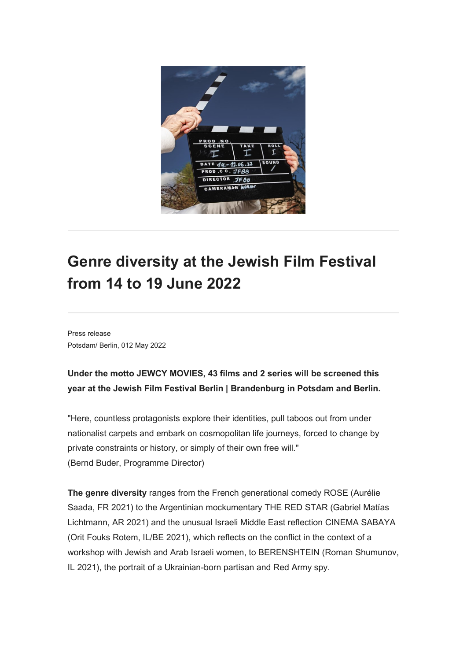

## **Genre diversity at the Jewish Film Festival from 14 to 19 June 2022**

Press release Potsdam/ Berlin, 012 May 2022

## **Under the motto JEWCY MOVIES, 43 films and 2 series will be screened this year at the Jewish Film Festival Berlin | Brandenburg in Potsdam and Berlin.**

"Here, countless protagonists explore their identities, pull taboos out from under nationalist carpets and embark on cosmopolitan life journeys, forced to change by private constraints or history, or simply of their own free will." (Bernd Buder, Programme Director)

**The genre diversity** ranges from the French generational comedy ROSE (Aurélie Saada, FR 2021) to the Argentinian mockumentary THE RED STAR (Gabriel Matías Lichtmann, AR 2021) and the unusual Israeli Middle East reflection CINEMA SABAYA (Orit Fouks Rotem, IL/BE 2021), which reflects on the conflict in the context of a workshop with Jewish and Arab Israeli women, to BERENSHTEIN (Roman Shumunov, IL 2021), the portrait of a Ukrainian-born partisan and Red Army spy.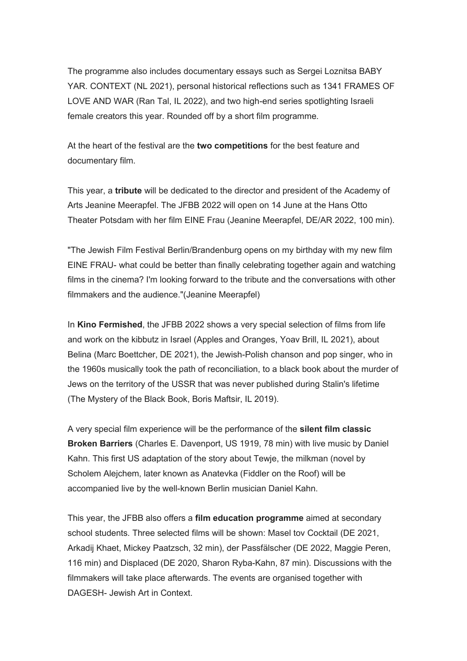The programme also includes documentary essays such as Sergei Loznitsa BABY YAR. CONTEXT (NL 2021), personal historical reflections such as 1341 FRAMES OF LOVE AND WAR (Ran Tal, IL 2022), and two high-end series spotlighting Israeli female creators this year. Rounded off by a short film programme.

At the heart of the festival are the **two competitions** for the best feature and documentary film.

This year, a **tribute** will be dedicated to the director and president of the Academy of Arts Jeanine Meerapfel. The JFBB 2022 will open on 14 June at the Hans Otto Theater Potsdam with her film EINE Frau (Jeanine Meerapfel, DE/AR 2022, 100 min).

"The Jewish Film Festival Berlin/Brandenburg opens on my birthday with my new film EINE FRAU- what could be better than finally celebrating together again and watching films in the cinema? I'm looking forward to the tribute and the conversations with other filmmakers and the audience."(Jeanine Meerapfel)

In **Kino Fermished**, the JFBB 2022 shows a very special selection of films from life and work on the kibbutz in Israel (Apples and Oranges, Yoav Brill, IL 2021), about Belina (Marc Boettcher, DE 2021), the Jewish-Polish chanson and pop singer, who in the 1960s musically took the path of reconciliation, to a black book about the murder of Jews on the territory of the USSR that was never published during Stalin's lifetime (The Mystery of the Black Book, Boris Maftsir, IL 2019).

A very special film experience will be the performance of the **silent film classic Broken Barriers** (Charles E. Davenport, US 1919, 78 min) with live music by Daniel Kahn. This first US adaptation of the story about Tewje, the milkman (novel by Scholem Alejchem, later known as Anatevka (Fiddler on the Roof) will be accompanied live by the well-known Berlin musician Daniel Kahn.

This year, the JFBB also offers a **film education programme** aimed at secondary school students. Three selected films will be shown: Masel tov Cocktail (DE 2021, Arkadij Khaet, Mickey Paatzsch, 32 min), der Passfälscher (DE 2022, Maggie Peren, 116 min) and Displaced (DE 2020, Sharon Ryba-Kahn, 87 min). Discussions with the filmmakers will take place afterwards. The events are organised together with DAGESH- Jewish Art in Context.